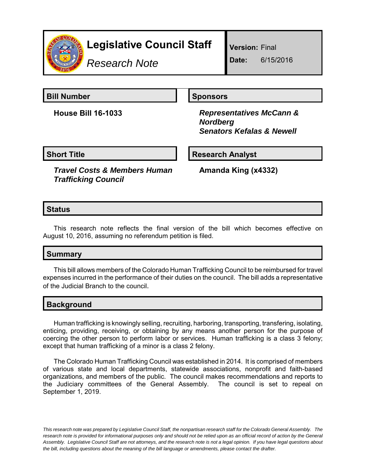

# **Legislative Council Staff**

*Research Note*

**Version:** Final

**Date:** 6/15/2016

**Bill Number Sponsors** 

**House Bill 16-1033** *Representatives McCann & Nordberg Senators Kefalas & Newell*

**Short Title**  Research Analyst

*Travel Costs & Members Human Trafficking Council*

**Amanda King (x4332)**

## **Status**

This research note reflects the final version of the bill which becomes effective on August 10, 2016, assuming no referendum petition is filed.

# **Summary**

This bill allows members of the Colorado Human Trafficking Council to be reimbursed for travel expenses incurred in the performance of their duties on the council. The bill adds a representative of the Judicial Branch to the council.

# **Background**

Human trafficking is knowingly selling, recruiting, harboring, transporting, transfering, isolating, enticing, providing, receiving, or obtaining by any means another person for the purpose of coercing the other person to perform labor or services. Human trafficking is a class 3 felony; except that human trafficking of a minor is a class 2 felony.

The Colorado Human Trafficking Council was established in 2014. It is comprised of members of various state and local departments, statewide associations, nonprofit and faith-based organizations, and members of the public. The council makes recommendations and reports to the Judiciary committees of the General Assembly. The council is set to repeal on September 1, 2019.

*This research note was prepared by Legislative Council Staff, the nonpartisan research staff for the Colorado General Assembly. The research note is provided for informational purposes only and should not be relied upon as an official record of action by the General Assembly. Legislative Council Staff are not attorneys, and the research note is not a legal opinion. If you have legal questions about the bill, including questions about the meaning of the bill language or amendments, please contact the drafter.*